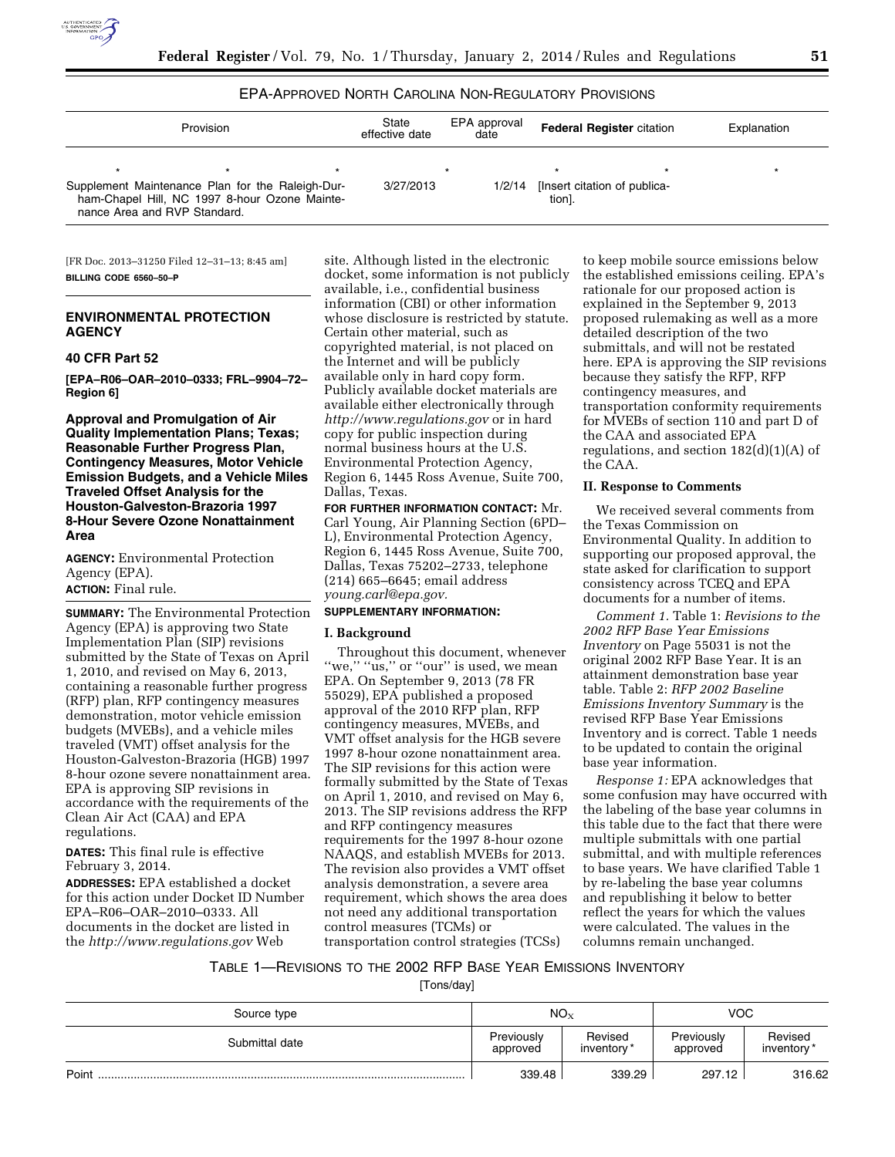

# EPA-APPROVED NORTH CAROLINA NON-REGULATORY PROVISIONS

| Provision                                                                                                                         |  | State<br>effective date | EPA approval<br>date | <b>Federal Register citation</b> |                              | Explanation |  |
|-----------------------------------------------------------------------------------------------------------------------------------|--|-------------------------|----------------------|----------------------------------|------------------------------|-------------|--|
|                                                                                                                                   |  |                         |                      |                                  |                              |             |  |
| Supplement Maintenance Plan for the Raleigh-Dur-<br>ham-Chapel Hill, NC 1997 8-hour Ozone Mainte-<br>nance Area and RVP Standard. |  | 3/27/2013               | 1/2/14               | tion].                           | [Insert citation of publica- |             |  |

[FR Doc. 2013–31250 Filed 12–31–13; 8:45 am] **BILLING CODE 6560–50–P** 

## **ENVIRONMENTAL PROTECTION AGENCY**

### **40 CFR Part 52**

**[EPA–R06–OAR–2010–0333; FRL–9904–72– Region 6]** 

**Approval and Promulgation of Air Quality Implementation Plans; Texas; Reasonable Further Progress Plan, Contingency Measures, Motor Vehicle Emission Budgets, and a Vehicle Miles Traveled Offset Analysis for the Houston-Galveston-Brazoria 1997 8-Hour Severe Ozone Nonattainment Area** 

**AGENCY:** Environmental Protection Agency (EPA). **ACTION:** Final rule.

**SUMMARY:** The Environmental Protection Agency (EPA) is approving two State Implementation Plan (SIP) revisions submitted by the State of Texas on April 1, 2010, and revised on May 6, 2013, containing a reasonable further progress (RFP) plan, RFP contingency measures demonstration, motor vehicle emission budgets (MVEBs), and a vehicle miles traveled (VMT) offset analysis for the Houston-Galveston-Brazoria (HGB) 1997 8-hour ozone severe nonattainment area. EPA is approving SIP revisions in accordance with the requirements of the Clean Air Act (CAA) and EPA regulations.

**DATES:** This final rule is effective February 3, 2014.

**ADDRESSES:** EPA established a docket for this action under Docket ID Number EPA–R06–OAR–2010–0333. All documents in the docket are listed in the *<http://www.regulations.gov>*Web

site. Although listed in the electronic docket, some information is not publicly available, i.e., confidential business information (CBI) or other information whose disclosure is restricted by statute. Certain other material, such as copyrighted material, is not placed on the Internet and will be publicly available only in hard copy form. Publicly available docket materials are available either electronically through *<http://www.regulations.gov>* or in hard copy for public inspection during normal business hours at the U.S. Environmental Protection Agency, Region 6, 1445 Ross Avenue, Suite 700, Dallas, Texas.

**FOR FURTHER INFORMATION CONTACT:** Mr. Carl Young, Air Planning Section (6PD– L), Environmental Protection Agency, Region 6, 1445 Ross Avenue, Suite 700, Dallas, Texas 75202–2733, telephone (214) 665–6645; email address *[young.carl@epa.gov.](mailto:young.carl@epa.gov)* 

# **SUPPLEMENTARY INFORMATION:**

### **I. Background**

Throughout this document, whenever "we," "us," or "our" is used, we mean EPA. On September 9, 2013 (78 FR 55029), EPA published a proposed approval of the 2010 RFP plan, RFP contingency measures, MVEBs, and VMT offset analysis for the HGB severe 1997 8-hour ozone nonattainment area. The SIP revisions for this action were formally submitted by the State of Texas on April 1, 2010, and revised on May 6, 2013. The SIP revisions address the RFP and RFP contingency measures requirements for the 1997 8-hour ozone NAAQS, and establish MVEBs for 2013. The revision also provides a VMT offset analysis demonstration, a severe area requirement, which shows the area does not need any additional transportation control measures (TCMs) or transportation control strategies (TCSs)

to keep mobile source emissions below the established emissions ceiling. EPA's rationale for our proposed action is explained in the September 9, 2013 proposed rulemaking as well as a more detailed description of the two submittals, and will not be restated here. EPA is approving the SIP revisions because they satisfy the RFP, RFP contingency measures, and transportation conformity requirements for MVEBs of section 110 and part D of the CAA and associated EPA regulations, and section  $182(d)(1)(A)$  of the CAA.

### **II. Response to Comments**

We received several comments from the Texas Commission on Environmental Quality. In addition to supporting our proposed approval, the state asked for clarification to support consistency across TCEQ and EPA documents for a number of items.

*Comment 1.* Table 1: *Revisions to the 2002 RFP Base Year Emissions Inventory* on Page 55031 is not the original 2002 RFP Base Year. It is an attainment demonstration base year table. Table 2: *RFP 2002 Baseline Emissions Inventory Summary* is the revised RFP Base Year Emissions Inventory and is correct. Table 1 needs to be updated to contain the original base year information.

*Response 1:* EPA acknowledges that some confusion may have occurred with the labeling of the base year columns in this table due to the fact that there were multiple submittals with one partial submittal, and with multiple references to base years. We have clarified Table 1 by re-labeling the base year columns and republishing it below to better reflect the years for which the values were calculated. The values in the columns remain unchanged.

## TABLE 1—REVISIONS TO THE 2002 RFP BASE YEAR EMISSIONS INVENTORY

[Tons/day]

| Source type    | NO <sub>x</sub>        | <b>VOC</b>            |                        |                       |  |
|----------------|------------------------|-----------------------|------------------------|-----------------------|--|
| Submittal date | Previously<br>approved | Revised<br>inventory* | Previously<br>approved | Revised<br>inventory* |  |
| Point          | 339.48                 | 339.29                | 297.12                 | 316.62                |  |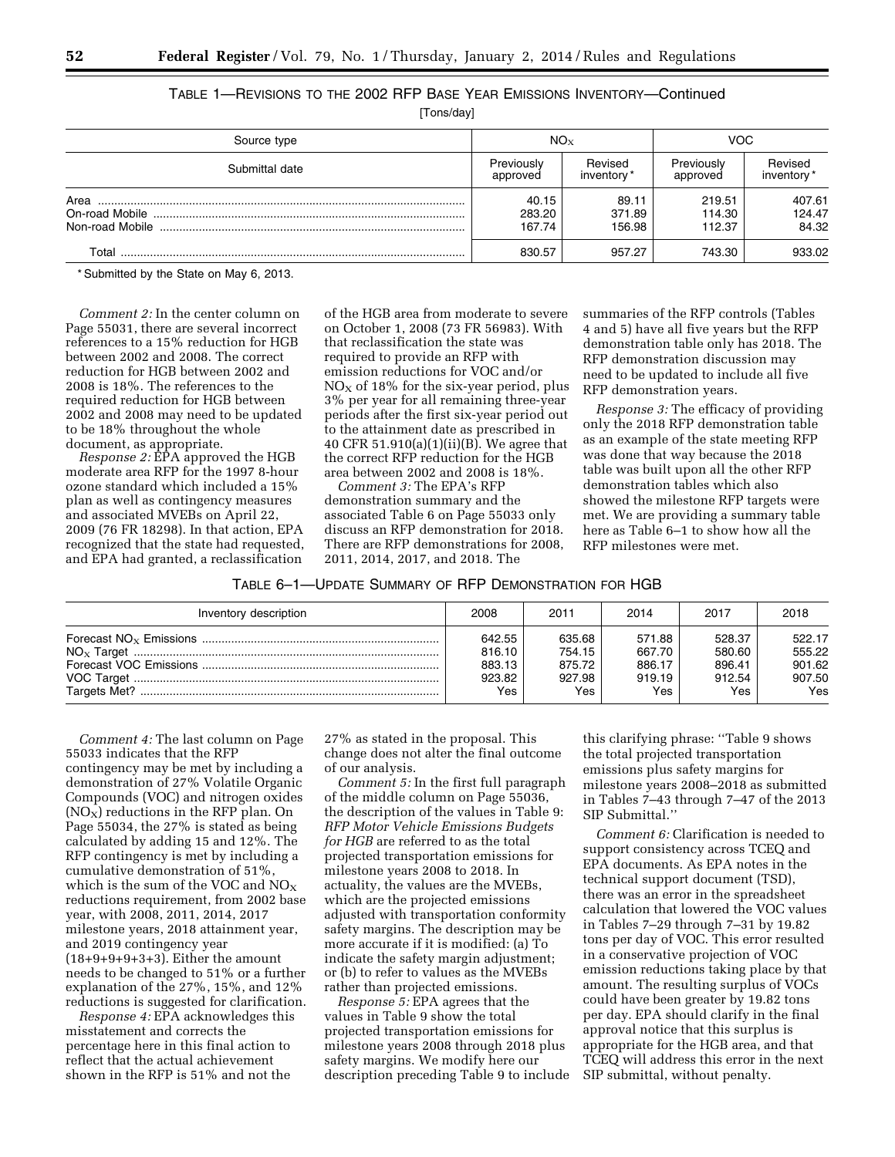| Source type    | $NO_{X}$                  |                           | <b>VOC</b>                 |                           |
|----------------|---------------------------|---------------------------|----------------------------|---------------------------|
| Submittal date | Previously<br>approved    | Revised<br>inventory*     | Previously<br>approved     | Revised<br>inventory *    |
| Area           | 40.15<br>283.20<br>167.74 | 89.11<br>371.89<br>156.98 | 219.51<br>114.30<br>112.37 | 407.61<br>124.47<br>84.32 |
| Total          | 830.57                    | 957.27                    | 743.30                     | 933.02                    |

TABLE 1—REVISIONS TO THE 2002 RFP BASE YEAR EMISSIONS INVENTORY—Continued

[Tons/day]

\* Submitted by the State on May 6, 2013.

*Comment 2:* In the center column on Page 55031, there are several incorrect references to a 15% reduction for HGB between 2002 and 2008. The correct reduction for HGB between 2002 and 2008 is 18%. The references to the required reduction for HGB between 2002 and 2008 may need to be updated to be 18% throughout the whole document, as appropriate.

*Response 2:* EPA approved the HGB moderate area RFP for the 1997 8-hour ozone standard which included a 15% plan as well as contingency measures and associated MVEBs on April 22, 2009 (76 FR 18298). In that action, EPA recognized that the state had requested, and EPA had granted, a reclassification

of the HGB area from moderate to severe on October 1, 2008 (73 FR 56983). With that reclassification the state was required to provide an RFP with emission reductions for VOC and/or  $NO<sub>X</sub>$  of 18% for the six-year period, plus 3% per year for all remaining three-year periods after the first six-year period out to the attainment date as prescribed in 40 CFR 51.910(a)(1)(ii)(B). We agree that the correct RFP reduction for the HGB area between 2002 and 2008 is 18%.

*Comment 3:* The EPA's RFP demonstration summary and the associated Table 6 on Page 55033 only discuss an RFP demonstration for 2018. There are RFP demonstrations for 2008, 2011, 2014, 2017, and 2018. The

summaries of the RFP controls (Tables 4 and 5) have all five years but the RFP demonstration table only has 2018. The RFP demonstration discussion may need to be updated to include all five RFP demonstration years.

*Response 3:* The efficacy of providing only the 2018 RFP demonstration table as an example of the state meeting RFP was done that way because the 2018 table was built upon all the other RFP demonstration tables which also showed the milestone RFP targets were met. We are providing a summary table here as Table 6–1 to show how all the RFP milestones were met.

| TABLE 6-1—UPDATE SUMMARY OF RFP DEMONSTRATION FOR HGB |  |
|-------------------------------------------------------|--|
|-------------------------------------------------------|--|

| Inventory description | 2008   | 2011   | 2014   | 2017       | 2018   |
|-----------------------|--------|--------|--------|------------|--------|
|                       | 642.55 | 635.68 | 571.88 | 528.37     | 522.17 |
|                       | 816.10 | 754.15 | 667.70 | 580.60     | 555.22 |
|                       | 883.13 | 875.72 | 886.17 | 896.41     | 901.62 |
|                       | 923.82 | 927.98 | 919.19 | 912.54     | 907.50 |
|                       | Yes    | Yes    | Yes    | <b>Yes</b> | Yes    |

*Comment 4:* The last column on Page 55033 indicates that the RFP contingency may be met by including a demonstration of 27% Volatile Organic Compounds (VOC) and nitrogen oxides  $(NO<sub>X</sub>)$  reductions in the RFP plan. On Page 55034, the 27% is stated as being calculated by adding 15 and 12%. The RFP contingency is met by including a cumulative demonstration of 51%, which is the sum of the VOC and  $NO<sub>X</sub>$ reductions requirement, from 2002 base year, with 2008, 2011, 2014, 2017 milestone years, 2018 attainment year, and 2019 contingency year (18+9+9+9+3+3). Either the amount needs to be changed to 51% or a further explanation of the 27%, 15%, and 12% reductions is suggested for clarification.

*Response 4:* EPA acknowledges this misstatement and corrects the percentage here in this final action to reflect that the actual achievement shown in the RFP is 51% and not the

27% as stated in the proposal. This change does not alter the final outcome of our analysis.

*Comment 5:* In the first full paragraph of the middle column on Page 55036, the description of the values in Table 9: *RFP Motor Vehicle Emissions Budgets for HGB* are referred to as the total projected transportation emissions for milestone years 2008 to 2018. In actuality, the values are the MVEBs, which are the projected emissions adjusted with transportation conformity safety margins. The description may be more accurate if it is modified: (a) To indicate the safety margin adjustment; or (b) to refer to values as the MVEBs rather than projected emissions.

*Response 5:* EPA agrees that the values in Table 9 show the total projected transportation emissions for milestone years 2008 through 2018 plus safety margins. We modify here our description preceding Table 9 to include

this clarifying phrase: ''Table 9 shows the total projected transportation emissions plus safety margins for milestone years 2008–2018 as submitted in Tables 7–43 through 7–47 of the 2013 SIP Submittal.''

*Comment 6:* Clarification is needed to support consistency across TCEQ and EPA documents. As EPA notes in the technical support document (TSD), there was an error in the spreadsheet calculation that lowered the VOC values in Tables 7–29 through 7–31 by 19.82 tons per day of VOC. This error resulted in a conservative projection of VOC emission reductions taking place by that amount. The resulting surplus of VOCs could have been greater by 19.82 tons per day. EPA should clarify in the final approval notice that this surplus is appropriate for the HGB area, and that TCEQ will address this error in the next SIP submittal, without penalty.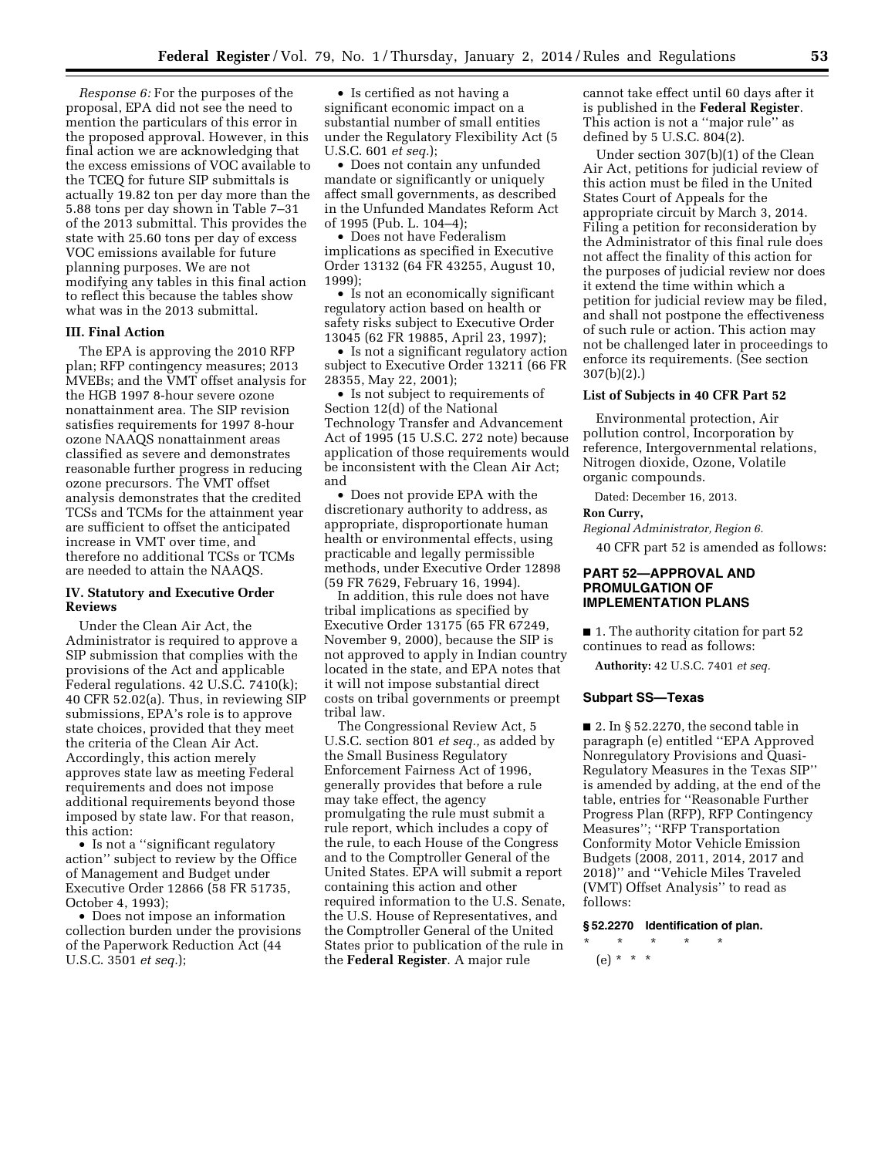*Response 6:* For the purposes of the proposal, EPA did not see the need to mention the particulars of this error in the proposed approval. However, in this final action we are acknowledging that the excess emissions of VOC available to the TCEQ for future SIP submittals is actually 19.82 ton per day more than the 5.88 tons per day shown in Table 7–31 of the 2013 submittal. This provides the state with 25.60 tons per day of excess VOC emissions available for future planning purposes. We are not modifying any tables in this final action to reflect this because the tables show what was in the 2013 submittal.

#### **III. Final Action**

The EPA is approving the 2010 RFP plan; RFP contingency measures; 2013 MVEBs; and the VMT offset analysis for the HGB 1997 8-hour severe ozone nonattainment area. The SIP revision satisfies requirements for 1997 8-hour ozone NAAQS nonattainment areas classified as severe and demonstrates reasonable further progress in reducing ozone precursors. The VMT offset analysis demonstrates that the credited TCSs and TCMs for the attainment year are sufficient to offset the anticipated increase in VMT over time, and therefore no additional TCSs or TCMs are needed to attain the NAAQS.

### **IV. Statutory and Executive Order Reviews**

Under the Clean Air Act, the Administrator is required to approve a SIP submission that complies with the provisions of the Act and applicable Federal regulations. 42 U.S.C. 7410(k); 40 CFR 52.02(a). Thus, in reviewing SIP submissions, EPA's role is to approve state choices, provided that they meet the criteria of the Clean Air Act. Accordingly, this action merely approves state law as meeting Federal requirements and does not impose additional requirements beyond those imposed by state law. For that reason, this action:

• Is not a ''significant regulatory action'' subject to review by the Office of Management and Budget under Executive Order 12866 (58 FR 51735, October 4, 1993);

• Does not impose an information collection burden under the provisions of the Paperwork Reduction Act (44 U.S.C. 3501 *et seq.*);

• Is certified as not having a significant economic impact on a substantial number of small entities under the Regulatory Flexibility Act (5 U.S.C. 601 *et seq.*);

• Does not contain any unfunded mandate or significantly or uniquely affect small governments, as described in the Unfunded Mandates Reform Act of 1995 (Pub. L. 104–4);

• Does not have Federalism implications as specified in Executive Order 13132 (64 FR 43255, August 10, 1999);

• Is not an economically significant regulatory action based on health or safety risks subject to Executive Order 13045 (62 FR 19885, April 23, 1997);

• Is not a significant regulatory action subject to Executive Order 13211 (66 FR 28355, May 22, 2001);

• Is not subject to requirements of Section 12(d) of the National Technology Transfer and Advancement Act of 1995 (15 U.S.C. 272 note) because application of those requirements would be inconsistent with the Clean Air Act; and

• Does not provide EPA with the discretionary authority to address, as appropriate, disproportionate human health or environmental effects, using practicable and legally permissible methods, under Executive Order 12898 (59 FR 7629, February 16, 1994).

In addition, this rule does not have tribal implications as specified by Executive Order 13175 (65 FR 67249, November 9, 2000), because the SIP is not approved to apply in Indian country located in the state, and EPA notes that it will not impose substantial direct costs on tribal governments or preempt tribal law.

The Congressional Review Act, 5 U.S.C. section 801 *et seq.,* as added by the Small Business Regulatory Enforcement Fairness Act of 1996, generally provides that before a rule may take effect, the agency promulgating the rule must submit a rule report, which includes a copy of the rule, to each House of the Congress and to the Comptroller General of the United States. EPA will submit a report containing this action and other required information to the U.S. Senate, the U.S. House of Representatives, and the Comptroller General of the United States prior to publication of the rule in the **Federal Register**. A major rule

cannot take effect until 60 days after it is published in the **Federal Register**. This action is not a ''major rule'' as defined by 5 U.S.C. 804(2).

Under section 307(b)(1) of the Clean Air Act, petitions for judicial review of this action must be filed in the United States Court of Appeals for the appropriate circuit by March 3, 2014. Filing a petition for reconsideration by the Administrator of this final rule does not affect the finality of this action for the purposes of judicial review nor does it extend the time within which a petition for judicial review may be filed, and shall not postpone the effectiveness of such rule or action. This action may not be challenged later in proceedings to enforce its requirements. (See section 307(b)(2).)

## **List of Subjects in 40 CFR Part 52**

Environmental protection, Air pollution control, Incorporation by reference, Intergovernmental relations, Nitrogen dioxide, Ozone, Volatile organic compounds.

Dated: December 16, 2013.

## **Ron Curry,**

40 CFR part 52 is amended as follows:

## **PART 52—APPROVAL AND PROMULGATION OF IMPLEMENTATION PLANS**

*Regional Administrator, Region 6.* 

■ 1. The authority citation for part 52 continues to read as follows:

**Authority:** 42 U.S.C. 7401 *et seq.* 

#### **Subpart SS—Texas**

 $\blacksquare$  2. In § 52.2270, the second table in paragraph (e) entitled ''EPA Approved Nonregulatory Provisions and Quasi-Regulatory Measures in the Texas SIP'' is amended by adding, at the end of the table, entries for ''Reasonable Further Progress Plan (RFP), RFP Contingency Measures''; ''RFP Transportation Conformity Motor Vehicle Emission Budgets (2008, 2011, 2014, 2017 and 2018)'' and ''Vehicle Miles Traveled (VMT) Offset Analysis'' to read as follows:

### **§ 52.2270 Identification of plan.**

\* \* \* \* \* (e) \* \* \*